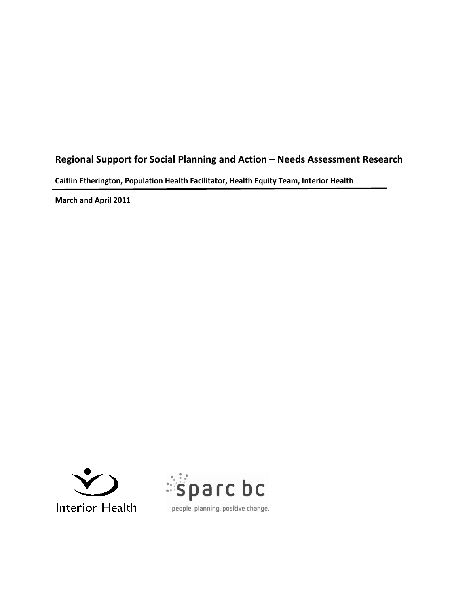# **Regional Support for Social Planning and Action – Needs Assessment Research**

**Caitlin Etherington, Population Health Facilitator, Health Equity Team, Interior Health**

**March and April 2011**



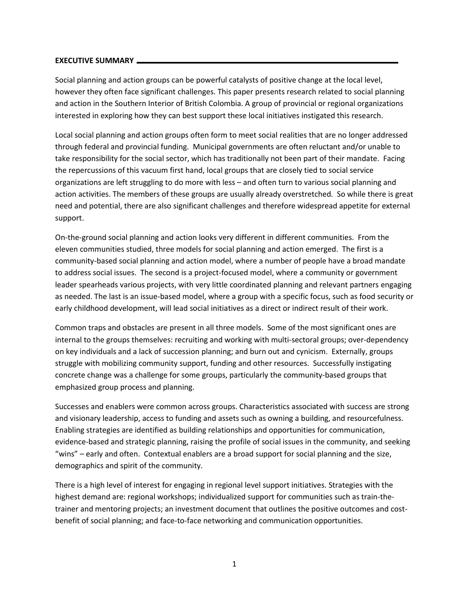#### **EXECUTIVE SUMMARY**

Social planning and action groups can be powerful catalysts of positive change at the local level, however they often face significant challenges. This paper presents research related to social planning and action in the Southern Interior of British Colombia. A group of provincial or regional organizations interested in exploring how they can best support these local initiatives instigated this research.

Local social planning and action groups often form to meet social realities that are no longer addressed through federal and provincial funding. Municipal governments are often reluctant and/or unable to take responsibility for the social sector, which has traditionally not been part of their mandate. Facing the repercussions of this vacuum first hand, local groups that are closely tied to social service organizations are left struggling to do more with less – and often turn to various social planning and action activities. The members of these groups are usually already overstretched. So while there is great need and potential, there are also significant challenges and therefore widespread appetite for external support.

On-the-ground social planning and action looks very different in different communities. From the eleven communities studied, three models for social planning and action emerged. The first is a community-based social planning and action model, where a number of people have a broad mandate to address social issues. The second is a project-focused model, where a community or government leader spearheads various projects, with very little coordinated planning and relevant partners engaging as needed. The last is an issue-based model, where a group with a specific focus, such as food security or early childhood development, will lead social initiatives as a direct or indirect result of their work.

Common traps and obstacles are present in all three models. Some of the most significant ones are internal to the groups themselves: recruiting and working with multi-sectoral groups; over-dependency on key individuals and a lack of succession planning; and burn out and cynicism. Externally, groups struggle with mobilizing community support, funding and other resources. Successfully instigating concrete change was a challenge for some groups, particularly the community-based groups that emphasized group process and planning.

Successes and enablers were common across groups. Characteristics associated with success are strong and visionary leadership, access to funding and assets such as owning a building, and resourcefulness. Enabling strategies are identified as building relationships and opportunities for communication, evidence-based and strategic planning, raising the profile of social issues in the community, and seeking "wins" – early and often. Contextual enablers are a broad support for social planning and the size, demographics and spirit of the community.

There is a high level of interest for engaging in regional level support initiatives. Strategies with the highest demand are: regional workshops; individualized support for communities such as train-thetrainer and mentoring projects; an investment document that outlines the positive outcomes and costbenefit of social planning; and face-to-face networking and communication opportunities.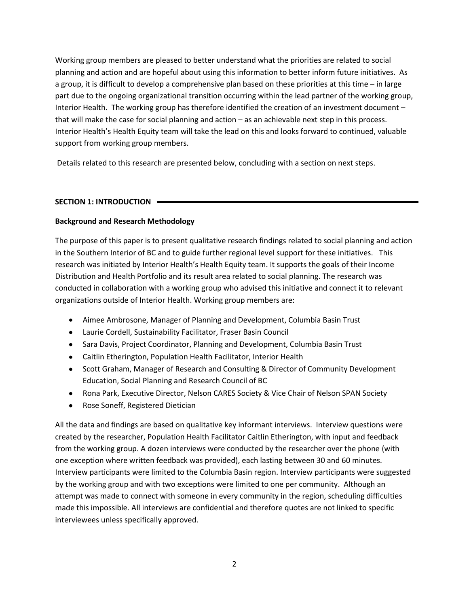Working group members are pleased to better understand what the priorities are related to social planning and action and are hopeful about using this information to better inform future initiatives. As a group, it is difficult to develop a comprehensive plan based on these priorities at this time – in large part due to the ongoing organizational transition occurring within the lead partner of the working group, Interior Health. The working group has therefore identified the creation of an investment document – that will make the case for social planning and action – as an achievable next step in this process. Interior Health's Health Equity team will take the lead on this and looks forward to continued, valuable support from working group members.

Details related to this research are presented below, concluding with a section on next steps.

### **SECTION 1: INTRODUCTION**

### **Background and Research Methodology**

The purpose of this paper is to present qualitative research findings related to social planning and action in the Southern Interior of BC and to guide further regional level support for these initiatives. This research was initiated by Interior Health's Health Equity team. It supports the goals of their Income Distribution and Health Portfolio and its result area related to social planning. The research was conducted in collaboration with a working group who advised this initiative and connect it to relevant organizations outside of Interior Health. Working group members are:

- Aimee Ambrosone, Manager of Planning and Development, Columbia Basin Trust
- Laurie Cordell, Sustainability Facilitator, Fraser Basin Council
- **•** Sara Davis, Project Coordinator, Planning and Development, Columbia Basin Trust
- Caitlin Etherington, Population Health Facilitator, Interior Health
- Scott Graham, Manager of Research and Consulting & Director of Community Development Education, Social Planning and Research Council of BC
- Rona Park, Executive Director, Nelson CARES Society & Vice Chair of Nelson SPAN Society
- Rose Soneff, Registered Dietician

All the data and findings are based on qualitative key informant interviews. Interview questions were created by the researcher, Population Health Facilitator Caitlin Etherington, with input and feedback from the working group. A dozen interviews were conducted by the researcher over the phone (with one exception where written feedback was provided), each lasting between 30 and 60 minutes. Interview participants were limited to the Columbia Basin region. Interview participants were suggested by the working group and with two exceptions were limited to one per community. Although an attempt was made to connect with someone in every community in the region, scheduling difficulties made this impossible. All interviews are confidential and therefore quotes are not linked to specific interviewees unless specifically approved.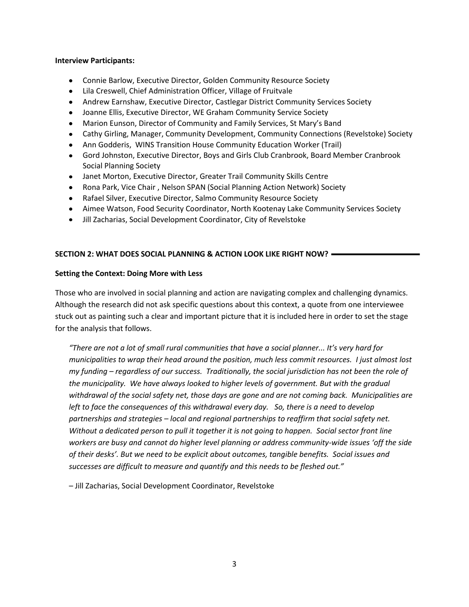#### **Interview Participants:**

- Connie Barlow, Executive Director, Golden Community Resource Society
- Lila Creswell, Chief Administration Officer, Village of Fruitvale
- Andrew Earnshaw, Executive Director, Castlegar District Community Services Society
- Joanne Ellis, Executive Director, WE Graham Community Service Society
- Marion Eunson, Director of Community and Family Services, St Mary's Band
- Cathy Girling, Manager, Community Development, Community Connections (Revelstoke) Society
- Ann Godderis, WINS Transition House Community Education Worker (Trail)
- Gord Johnston, Executive Director, Boys and Girls Club Cranbrook, Board Member Cranbrook Social Planning Society
- Janet Morton, Executive Director, Greater Trail Community Skills Centre
- Rona Park, Vice Chair, Nelson SPAN (Social Planning Action Network) Society
- Rafael Silver, Executive Director, Salmo Community Resource Society
- Aimee Watson, Food Security Coordinator, North Kootenay Lake Community Services Society
- Jill Zacharias, Social Development Coordinator, City of Revelstoke

### **SECTION 2: WHAT DOES SOCIAL PLANNING & ACTION LOOK LIKE RIGHT NOW?**

#### **Setting the Context: Doing More with Less**

Those who are involved in social planning and action are navigating complex and challenging dynamics. Although the research did not ask specific questions about this context, a quote from one interviewee stuck out as painting such a clear and important picture that it is included here in order to set the stage for the analysis that follows.

*"There are not a lot of small rural communities that have a social planner... It's very hard for municipalities to wrap their head around the position, much less commit resources. I just almost lost my funding – regardless of our success. Traditionally, the social jurisdiction has not been the role of the municipality. We have always looked to higher levels of government. But with the gradual withdrawal of the social safety net, those days are gone and are not coming back. Municipalities are left to face the consequences of this withdrawal every day. So, there is a need to develop partnerships and strategies – local and regional partnerships to reaffirm that social safety net. Without a dedicated person to pull it together it is not going to happen. Social sector front line workers are busy and cannot do higher level planning or address community-wide issues 'off the side of their desks'. But we need to be explicit about outcomes, tangible benefits. Social issues and successes are difficult to measure and quantify and this needs to be fleshed out."* 

– Jill Zacharias, Social Development Coordinator, Revelstoke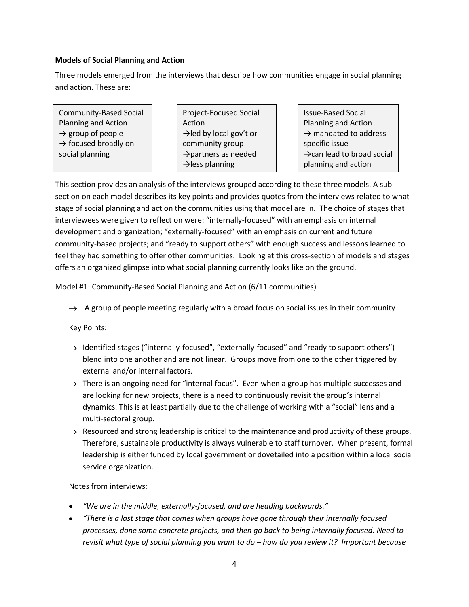### **Models of Social Planning and Action**

Three models emerged from the interviews that describe how communities engage in social planning and action. These are:

Community-Based Social Planning and Action  $\rightarrow$  group of people  $\rightarrow$  focused broadly on social planning

Project-Focused Social Action  $\rightarrow$  led by local gov't or community group  $\rightarrow$ partners as needed  $\rightarrow$  less planning

Issue-Based Social Planning and Action  $\rightarrow$  mandated to address specific issue  $\rightarrow$ can lead to broad social planning and action

This section provides an analysis of the interviews grouped according to these three models. A subsection on each model describes its key points and provides quotes from the interviews related to what stage of social planning and action the communities using that model are in. The choice of stages that interviewees were given to reflect on were: "internally-focused" with an emphasis on internal development and organization; "externally-focused" with an emphasis on current and future community-based projects; and "ready to support others" with enough success and lessons learned to feel they had something to offer other communities. Looking at this cross-section of models and stages offers an organized glimpse into what social planning currently looks like on the ground.

# Model #1: Community-Based Social Planning and Action (6/11 communities)

 $\rightarrow$  A group of people meeting regularly with a broad focus on social issues in their community

### Key Points:

- $\rightarrow$  Identified stages ("internally-focused", "externally-focused" and "ready to support others") blend into one another and are not linear. Groups move from one to the other triggered by external and/or internal factors.
- $\rightarrow$  There is an ongoing need for "internal focus". Even when a group has multiple successes and are looking for new projects, there is a need to continuously revisit the group's internal dynamics. This is at least partially due to the challenge of working with a "social" lens and a multi-sectoral group.
- $\rightarrow$  Resourced and strong leadership is critical to the maintenance and productivity of these groups. Therefore, sustainable productivity is always vulnerable to staff turnover. When present, formal leadership is either funded by local government or dovetailed into a position within a local social service organization.

### Notes from interviews:

- *"We are in the middle, externally-focused, and are heading backwards."*
- *"There is a last stage that comes when groups have gone through their internally focused processes, done some concrete projects, and then go back to being internally focused. Need to revisit what type of social planning you want to do – how do you review it? Important because*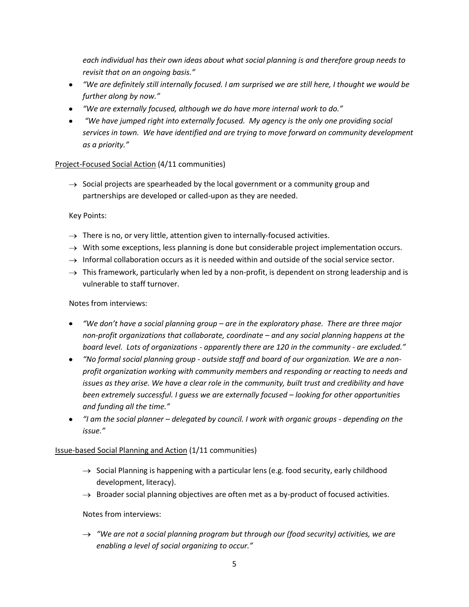*each individual has their own ideas about what social planning is and therefore group needs to revisit that on an ongoing basis."*

- *"We are definitely still internally focused. I am surprised we are still here, I thought we would be further along by now."*
- *"We are externally focused, although we do have more internal work to do."*
- *"We have jumped right into externally focused. My agency is the only one providing social services in town. We have identified and are trying to move forward on community development as a priority."*

# Project-Focused Social Action (4/11 communities)

 $\rightarrow$  Social projects are spearheaded by the local government or a community group and partnerships are developed or called-upon as they are needed.

# Key Points:

- $\rightarrow$  There is no, or very little, attention given to internally-focused activities.
- $\rightarrow$  With some exceptions, less planning is done but considerable project implementation occurs.
- $\rightarrow$  Informal collaboration occurs as it is needed within and outside of the social service sector.
- $\rightarrow$  This framework, particularly when led by a non-profit, is dependent on strong leadership and is vulnerable to staff turnover.

# Notes from interviews:

- $\bullet$ *"We don't have a social planning group – are in the exploratory phase. There are three major non-profit organizations that collaborate, coordinate – and any social planning happens at the board level. Lots of organizations - apparently there are 120 in the community - are excluded."*
- *"No formal social planning group - outside staff and board of our organization. We are a nonprofit organization working with community members and responding or reacting to needs and issues as they arise. We have a clear role in the community, built trust and credibility and have been extremely successful. I guess we are externally focused – looking for other opportunities and funding all the time."*
- *"I am the social planner – delegated by council. I work with organic groups - depending on the issue."*

# Issue-based Social Planning and Action (1/11 communities)

- $\rightarrow$  Social Planning is happening with a particular lens (e.g. food security, early childhood development, literacy).
- $\rightarrow$  Broader social planning objectives are often met as a by-product of focused activities.

Notes from interviews:

*"We are not a social planning program but through our (food security) activities, we are enabling a level of social organizing to occur."*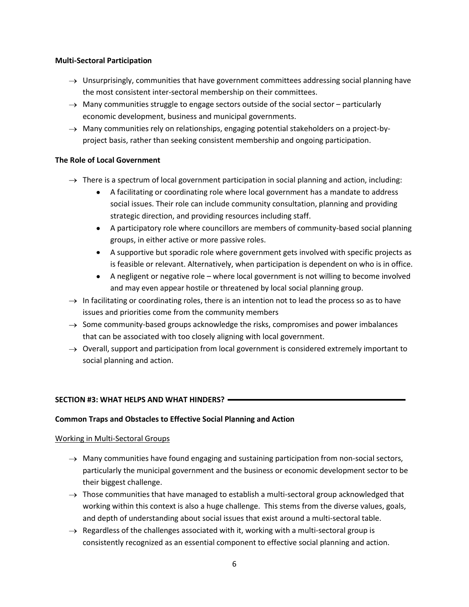### **Multi-Sectoral Participation**

- $\rightarrow$  Unsurprisingly, communities that have government committees addressing social planning have the most consistent inter-sectoral membership on their committees.
- $\rightarrow$  Many communities struggle to engage sectors outside of the social sector particularly economic development, business and municipal governments.
- $\rightarrow$  Many communities rely on relationships, engaging potential stakeholders on a project-byproject basis, rather than seeking consistent membership and ongoing participation.

# **The Role of Local Government**

- $\rightarrow$  There is a spectrum of local government participation in social planning and action, including:
	- $\bullet$ A facilitating or coordinating role where local government has a mandate to address social issues. Their role can include community consultation, planning and providing strategic direction, and providing resources including staff.
	- A participatory role where councillors are members of community-based social planning groups, in either active or more passive roles.
	- A supportive but sporadic role where government gets involved with specific projects as is feasible or relevant. Alternatively, when participation is dependent on who is in office.
	- A negligent or negative role where local government is not willing to become involved  $\bullet$ and may even appear hostile or threatened by local social planning group.
- $\rightarrow$  In facilitating or coordinating roles, there is an intention not to lead the process so as to have issues and priorities come from the community members
- $\rightarrow$  Some community-based groups acknowledge the risks, compromises and power imbalances that can be associated with too closely aligning with local government.
- $\rightarrow$  Overall, support and participation from local government is considered extremely important to social planning and action.

# **SECTION #3: WHAT HELPS AND WHAT HINDERS?**

# **Common Traps and Obstacles to Effective Social Planning and Action**

### Working in Multi-Sectoral Groups

- $\rightarrow$  Many communities have found engaging and sustaining participation from non-social sectors, particularly the municipal government and the business or economic development sector to be their biggest challenge.
- $\rightarrow$  Those communities that have managed to establish a multi-sectoral group acknowledged that working within this context is also a huge challenge. This stems from the diverse values, goals, and depth of understanding about social issues that exist around a multi-sectoral table.
- $\rightarrow$  Regardless of the challenges associated with it, working with a multi-sectoral group is consistently recognized as an essential component to effective social planning and action.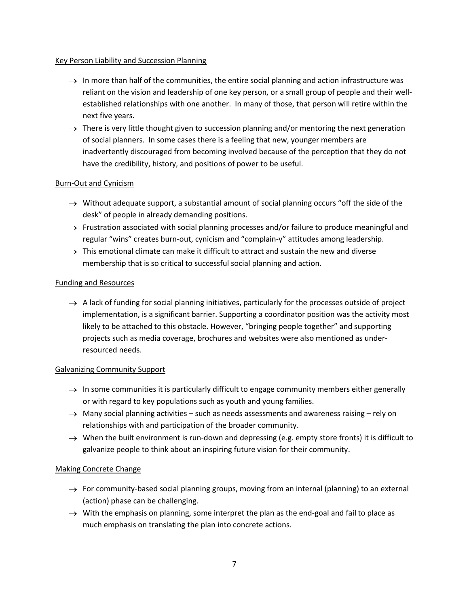### Key Person Liability and Succession Planning

- $\rightarrow$  In more than half of the communities, the entire social planning and action infrastructure was reliant on the vision and leadership of one key person, or a small group of people and their wellestablished relationships with one another. In many of those, that person will retire within the next five years.
- $\rightarrow$  There is very little thought given to succession planning and/or mentoring the next generation of social planners. In some cases there is a feeling that new, younger members are inadvertently discouraged from becoming involved because of the perception that they do not have the credibility, history, and positions of power to be useful.

### Burn-Out and Cynicism

- $\rightarrow$  Without adequate support, a substantial amount of social planning occurs "off the side of the desk" of people in already demanding positions.
- $\rightarrow$  Frustration associated with social planning processes and/or failure to produce meaningful and regular "wins" creates burn-out, cynicism and "complain-y" attitudes among leadership.
- $\rightarrow$  This emotional climate can make it difficult to attract and sustain the new and diverse membership that is so critical to successful social planning and action.

#### Funding and Resources

 $\rightarrow$  A lack of funding for social planning initiatives, particularly for the processes outside of project implementation, is a significant barrier. Supporting a coordinator position was the activity most likely to be attached to this obstacle. However, "bringing people together" and supporting projects such as media coverage, brochures and websites were also mentioned as underresourced needs.

#### Galvanizing Community Support

- $\rightarrow$  In some communities it is particularly difficult to engage community members either generally or with regard to key populations such as youth and young families.
- $\rightarrow$  Many social planning activities such as needs assessments and awareness raising rely on relationships with and participation of the broader community.
- $\rightarrow$  When the built environment is run-down and depressing (e.g. empty store fronts) it is difficult to galvanize people to think about an inspiring future vision for their community.

### Making Concrete Change

- $\rightarrow$  For community-based social planning groups, moving from an internal (planning) to an external (action) phase can be challenging.
- $\rightarrow$  With the emphasis on planning, some interpret the plan as the end-goal and fail to place as much emphasis on translating the plan into concrete actions.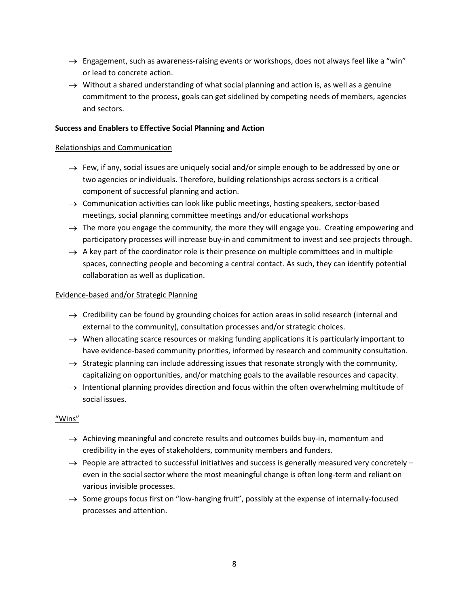- $\rightarrow$  Engagement, such as awareness-raising events or workshops, does not always feel like a "win" or lead to concrete action.
- $\rightarrow$  Without a shared understanding of what social planning and action is, as well as a genuine commitment to the process, goals can get sidelined by competing needs of members, agencies and sectors.

### **Success and Enablers to Effective Social Planning and Action**

#### Relationships and Communication

- $\rightarrow$  Few, if any, social issues are uniquely social and/or simple enough to be addressed by one or two agencies or individuals. Therefore, building relationships across sectors is a critical component of successful planning and action.
- $\rightarrow$  Communication activities can look like public meetings, hosting speakers, sector-based meetings, social planning committee meetings and/or educational workshops
- $\rightarrow$  The more you engage the community, the more they will engage you. Creating empowering and participatory processes will increase buy-in and commitment to invest and see projects through.
- $\rightarrow$  A key part of the coordinator role is their presence on multiple committees and in multiple spaces, connecting people and becoming a central contact. As such, they can identify potential collaboration as well as duplication.

#### Evidence-based and/or Strategic Planning

- $\rightarrow$  Credibility can be found by grounding choices for action areas in solid research (internal and external to the community), consultation processes and/or strategic choices.
- $\rightarrow$  When allocating scarce resources or making funding applications it is particularly important to have evidence-based community priorities, informed by research and community consultation.
- $\rightarrow$  Strategic planning can include addressing issues that resonate strongly with the community, capitalizing on opportunities, and/or matching goals to the available resources and capacity.
- $\rightarrow$  Intentional planning provides direction and focus within the often overwhelming multitude of social issues.

### "Wins"

- $\rightarrow$  Achieving meaningful and concrete results and outcomes builds buy-in, momentum and credibility in the eyes of stakeholders, community members and funders.
- $\rightarrow$  People are attracted to successful initiatives and success is generally measured very concretely even in the social sector where the most meaningful change is often long-term and reliant on various invisible processes.
- $\rightarrow$  Some groups focus first on "low-hanging fruit", possibly at the expense of internally-focused processes and attention.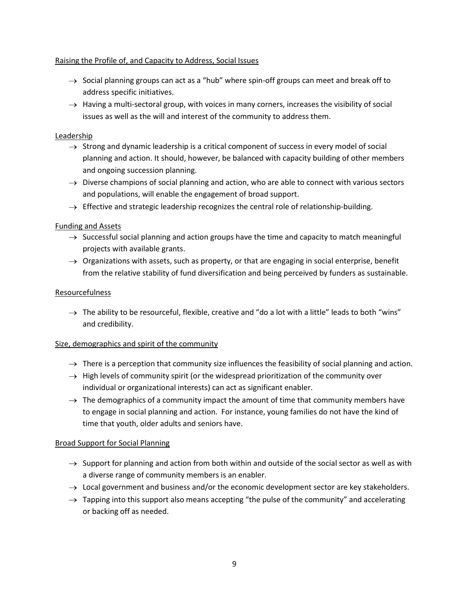# Raising the Profile of, and Capacity to Address, Social Issues

- $\rightarrow$  Social planning groups can act as a "hub" where spin-off groups can meet and break off to address specific initiatives.
- $\rightarrow$  Having a multi-sectoral group, with voices in many corners, increases the visibility of social issues as well as the will and interest of the community to address them.

# Leadership

- $\rightarrow$  Strong and dynamic leadership is a critical component of success in every model of social planning and action. It should, however, be balanced with capacity building of other members and ongoing succession planning.
- $\rightarrow$  Diverse champions of social planning and action, who are able to connect with various sectors and populations, will enable the engagement of broad support.
- $\rightarrow$  Effective and strategic leadership recognizes the central role of relationship-building.

# Funding and Assets

- $\rightarrow$  Successful social planning and action groups have the time and capacity to match meaningful projects with available grants.
- $\rightarrow$  Organizations with assets, such as property, or that are engaging in social enterprise, benefit from the relative stability of fund diversification and being perceived by funders as sustainable.

# Resourcefulness

 $\rightarrow$  The ability to be resourceful, flexible, creative and "do a lot with a little" leads to both "wins" and credibility.

### Size, demographics and spirit of the community

- $\rightarrow$  There is a perception that community size influences the feasibility of social planning and action.
- $\rightarrow$  High levels of community spirit (or the widespread prioritization of the community over individual or organizational interests) can act as significant enabler.
- $\rightarrow$  The demographics of a community impact the amount of time that community members have to engage in social planning and action. For instance, young families do not have the kind of time that youth, older adults and seniors have.

### Broad Support for Social Planning

- $\rightarrow$  Support for planning and action from both within and outside of the social sector as well as with a diverse range of community members is an enabler.
- $\rightarrow$  Local government and business and/or the economic development sector are key stakeholders.
- $\rightarrow$  Tapping into this support also means accepting "the pulse of the community" and accelerating or backing off as needed.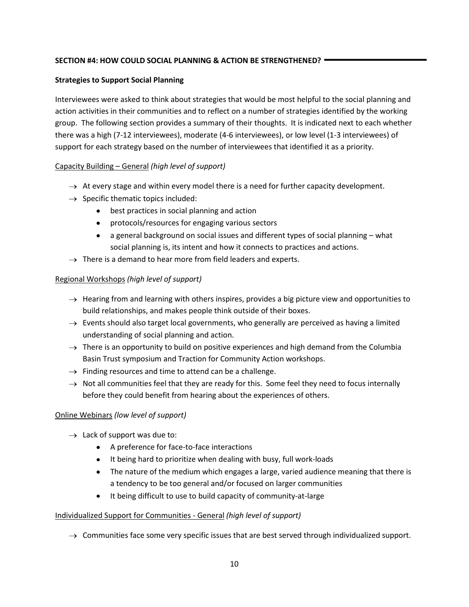# **SECTION #4: HOW COULD SOCIAL PLANNING & ACTION BE STRENGTHENED?**

# **Strategies to Support Social Planning**

Interviewees were asked to think about strategies that would be most helpful to the social planning and action activities in their communities and to reflect on a number of strategies identified by the working group. The following section provides a summary of their thoughts. It is indicated next to each whether there was a high (7-12 interviewees), moderate (4-6 interviewees), or low level (1-3 interviewees) of support for each strategy based on the number of interviewees that identified it as a priority.

# Capacity Building – General *(high level of support)*

- $\rightarrow$  At every stage and within every model there is a need for further capacity development.
- $\rightarrow$  Specific thematic topics included:
	- best practices in social planning and action
	- protocols/resources for engaging various sectors
	- a general background on social issues and different types of social planning what social planning is, its intent and how it connects to practices and actions.
- $\rightarrow$  There is a demand to hear more from field leaders and experts.

# Regional Workshops *(high level of support)*

- $\rightarrow$  Hearing from and learning with others inspires, provides a big picture view and opportunities to build relationships, and makes people think outside of their boxes.
- $\rightarrow$  Events should also target local governments, who generally are perceived as having a limited understanding of social planning and action.
- $\rightarrow$  There is an opportunity to build on positive experiences and high demand from the Columbia Basin Trust symposium and Traction for Community Action workshops.
- $\rightarrow$  Finding resources and time to attend can be a challenge.
- $\rightarrow$  Not all communities feel that they are ready for this. Some feel they need to focus internally before they could benefit from hearing about the experiences of others.

# Online Webinars *(low level of support)*

- $\rightarrow$  Lack of support was due to:
	- A preference for face-to-face interactions
	- It being hard to prioritize when dealing with busy, full work-loads
	- The nature of the medium which engages a large, varied audience meaning that there is a tendency to be too general and/or focused on larger communities
	- It being difficult to use to build capacity of community-at-large

### Individualized Support for Communities - General *(high level of support)*

 $\rightarrow$  Communities face some very specific issues that are best served through individualized support.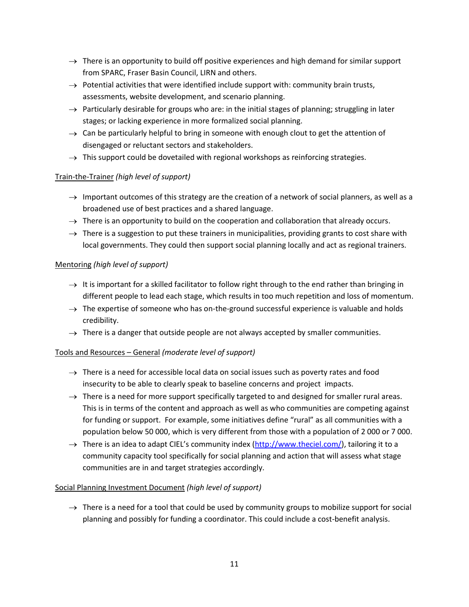- $\rightarrow$  There is an opportunity to build off positive experiences and high demand for similar support from SPARC, Fraser Basin Council, LIRN and others.
- $\rightarrow$  Potential activities that were identified include support with: community brain trusts, assessments, website development, and scenario planning.
- $\rightarrow$  Particularly desirable for groups who are: in the initial stages of planning; struggling in later stages; or lacking experience in more formalized social planning.
- $\rightarrow$  Can be particularly helpful to bring in someone with enough clout to get the attention of disengaged or reluctant sectors and stakeholders.
- $\rightarrow$  This support could be dovetailed with regional workshops as reinforcing strategies.

# Train-the-Trainer *(high level of support)*

- $\rightarrow$  Important outcomes of this strategy are the creation of a network of social planners, as well as a broadened use of best practices and a shared language.
- $\rightarrow$  There is an opportunity to build on the cooperation and collaboration that already occurs.
- $\rightarrow$  There is a suggestion to put these trainers in municipalities, providing grants to cost share with local governments. They could then support social planning locally and act as regional trainers.

# Mentoring *(high level of support)*

- $\rightarrow$  It is important for a skilled facilitator to follow right through to the end rather than bringing in different people to lead each stage, which results in too much repetition and loss of momentum.
- $\rightarrow$  The expertise of someone who has on-the-ground successful experience is valuable and holds credibility.
- $\rightarrow$  There is a danger that outside people are not always accepted by smaller communities.

# Tools and Resources – General *(moderate level of support)*

- $\rightarrow$  There is a need for accessible local data on social issues such as poverty rates and food insecurity to be able to clearly speak to baseline concerns and project impacts.
- $\rightarrow$  There is a need for more support specifically targeted to and designed for smaller rural areas. This is in terms of the content and approach as well as who communities are competing against for funding or support. For example, some initiatives define "rural" as all communities with a population below 50 000, which is very different from those with a population of 2 000 or 7 000.
- $\rightarrow$  There is an idea to adapt CIEL's community index ([http://www.theciel.com/\)](http://www.theciel.com/), tailoring it to a community capacity tool specifically for social planning and action that will assess what stage communities are in and target strategies accordingly.

# Social Planning Investment Document *(high level of support)*

 $\rightarrow$  There is a need for a tool that could be used by community groups to mobilize support for social planning and possibly for funding a coordinator. This could include a cost-benefit analysis.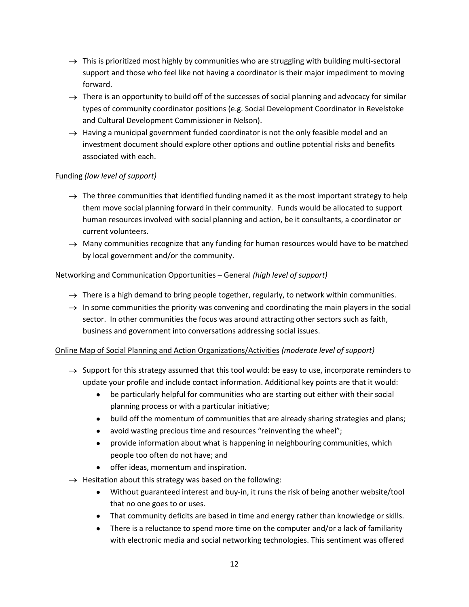- $\rightarrow$  This is prioritized most highly by communities who are struggling with building multi-sectoral support and those who feel like not having a coordinator is their major impediment to moving forward.
- $\rightarrow$  There is an opportunity to build off of the successes of social planning and advocacy for similar types of community coordinator positions (e.g. Social Development Coordinator in Revelstoke and Cultural Development Commissioner in Nelson).
- $\rightarrow$  Having a municipal government funded coordinator is not the only feasible model and an investment document should explore other options and outline potential risks and benefits associated with each.

# Funding *(low level of support)*

- $\rightarrow$  The three communities that identified funding named it as the most important strategy to help them move social planning forward in their community. Funds would be allocated to support human resources involved with social planning and action, be it consultants, a coordinator or current volunteers.
- $\rightarrow$  Many communities recognize that any funding for human resources would have to be matched by local government and/or the community.

# Networking and Communication Opportunities – General *(high level of support)*

- $\rightarrow$  There is a high demand to bring people together, regularly, to network within communities.
- $\rightarrow$  In some communities the priority was convening and coordinating the main players in the social sector. In other communities the focus was around attracting other sectors such as faith, business and government into conversations addressing social issues.

# Online Map of Social Planning and Action Organizations/Activities *(moderate level of support)*

- $\rightarrow$  Support for this strategy assumed that this tool would: be easy to use, incorporate reminders to update your profile and include contact information. Additional key points are that it would:
	- be particularly helpful for communities who are starting out either with their social  $\bullet$ planning process or with a particular initiative;
	- build off the momentum of communities that are already sharing strategies and plans;
	- avoid wasting precious time and resources "reinventing the wheel";
	- provide information about what is happening in neighbouring communities, which people too often do not have; and
	- **•** offer ideas, momentum and inspiration.
- $\rightarrow$  Hesitation about this strategy was based on the following:
	- Without guaranteed interest and buy-in, it runs the risk of being another website/tool that no one goes to or uses.
	- That community deficits are based in time and energy rather than knowledge or skills.
	- There is a reluctance to spend more time on the computer and/or a lack of familiarity  $\bullet$ with electronic media and social networking technologies. This sentiment was offered